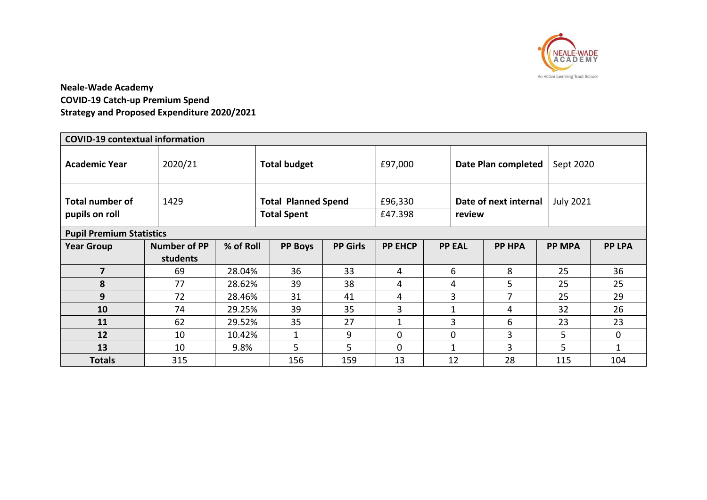

# **Neale-Wade Academy COVID-19 Catch-up Premium Spend Strategy and Proposed Expenditure 2020/2021**

| <b>COVID-19 contextual information</b>   |                     |           |                                                  |                 |                    |  |                                 |               |                  |               |  |
|------------------------------------------|---------------------|-----------|--------------------------------------------------|-----------------|--------------------|--|---------------------------------|---------------|------------------|---------------|--|
| <b>Academic Year</b>                     | 2020/21             |           | <b>Total budget</b>                              |                 | £97,000            |  | Date Plan completed             |               |                  | Sept 2020     |  |
| <b>Total number of</b><br>pupils on roll | 1429                |           | <b>Total Planned Spend</b><br><b>Total Spent</b> |                 | £96,330<br>£47.398 |  | Date of next internal<br>review |               | <b>July 2021</b> |               |  |
| <b>Pupil Premium Statistics</b>          |                     |           |                                                  |                 |                    |  |                                 |               |                  |               |  |
| <b>Year Group</b>                        | <b>Number of PP</b> | % of Roll | <b>PP Boys</b>                                   | <b>PP Girls</b> | <b>PP EHCP</b>     |  | <b>PP EAL</b>                   | <b>PP HPA</b> | <b>PP MPA</b>    | <b>PP LPA</b> |  |
|                                          | students            |           |                                                  |                 |                    |  |                                 |               |                  |               |  |
| 7                                        | 69                  | 28.04%    | 36                                               | 33              | 4                  |  | 6                               | 8             | 25               | 36            |  |
| 8                                        | 77                  | 28.62%    | 39                                               | 38              | 4                  |  | 4                               | 5             | 25               | 25            |  |
| 9                                        | 72                  | 28.46%    | 31                                               | 41              | 4                  |  | 3                               |               | 25               | 29            |  |
| 10                                       | 74                  | 29.25%    | 39                                               | 35              | 3                  |  | 1                               | 4             | 32               | 26            |  |
| <b>11</b>                                | 62                  | 29.52%    | 35                                               | 27              | 1                  |  | 3                               | 6             | 23               | 23            |  |
| 12                                       | 10                  | 10.42%    | 1                                                | 9               | $\Omega$           |  | 0                               | 3             | 5                | 0             |  |
| 13                                       | 10                  | 9.8%      | 5                                                | 5               | 0                  |  | 1                               | 3             | 5                | 1             |  |
| <b>Totals</b>                            | 315                 |           | 156                                              | 159             | 13                 |  | 12                              | 28            | 115              | 104           |  |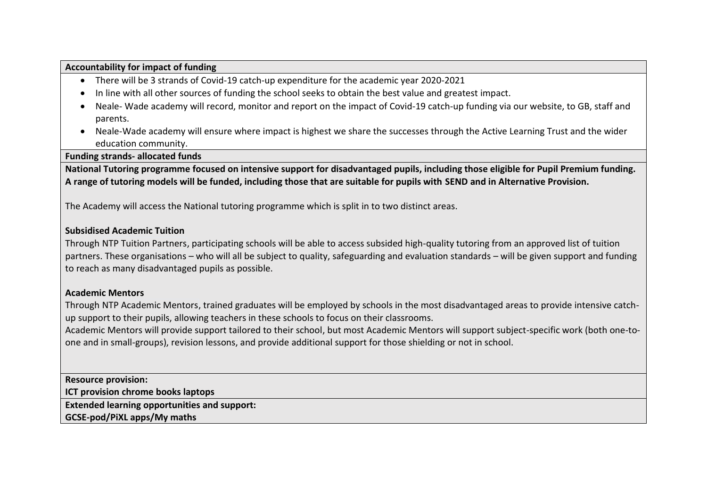### **Accountability for impact of funding**

- There will be 3 strands of Covid-19 catch-up expenditure for the academic year 2020-2021
- In line with all other sources of funding the school seeks to obtain the best value and greatest impact.
- Neale- Wade academy will record, monitor and report on the impact of Covid-19 catch-up funding via our website, to GB, staff and parents.
- Neale-Wade academy will ensure where impact is highest we share the successes through the Active Learning Trust and the wider education community.

**Funding strands- allocated funds**

**National Tutoring programme focused on intensive support for disadvantaged pupils, including those eligible for Pupil Premium funding. A range of tutoring models will be funded, including those that are suitable for pupils with SEND and in Alternative Provision.**

The Academy will access the National tutoring programme which is split in to two distinct areas.

### **Subsidised Academic Tuition**

Through NTP Tuition [Partners,](https://nationaltutoring.org.uk/ntp-tuition-partners) participating schools will be able to access subsided high-quality tutoring from an approved list of tuition partners. These organisations – who will all be subject to quality, safeguarding and evaluation standards – will be given support and funding to reach as many disadvantaged pupils as possible.

### **Academic Mentors**

Through NTP [Academic](https://nationaltutoring.org.uk/ntp-academic-mentors) Mentors, trained graduates will be employed by schools in the most disadvantaged areas to provide intensive catchup support to their pupils, allowing teachers in these schools to focus on their classrooms.

Academic Mentors will provide support tailored to their school, but most Academic Mentors will support subject-specific work (both one-toone and in small-groups), revision lessons, and provide additional support for those shielding or not in school.

**Resource provision:**

**ICT provision chrome books laptops**

**Extended learning opportunities and support:**

**GCSE-pod/PiXL apps/My maths**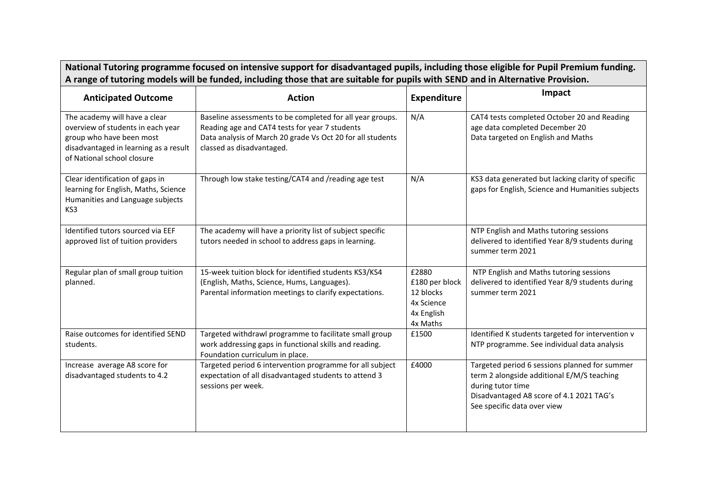| National Tutoring programme focused on intensive support for disadvantaged pupils, including those eligible for Pupil Premium funding.<br>A range of tutoring models will be funded, including those that are suitable for pupils with SEND and in Alternative Provision. |                                                                                                                                                                                                        |                                                                              |                                                                                                                                                                                             |  |  |
|---------------------------------------------------------------------------------------------------------------------------------------------------------------------------------------------------------------------------------------------------------------------------|--------------------------------------------------------------------------------------------------------------------------------------------------------------------------------------------------------|------------------------------------------------------------------------------|---------------------------------------------------------------------------------------------------------------------------------------------------------------------------------------------|--|--|
| <b>Anticipated Outcome</b>                                                                                                                                                                                                                                                | <b>Action</b>                                                                                                                                                                                          | <b>Expenditure</b>                                                           | Impact                                                                                                                                                                                      |  |  |
| The academy will have a clear<br>overview of students in each year<br>group who have been most<br>disadvantaged in learning as a result<br>of National school closure                                                                                                     | Baseline assessments to be completed for all year groups.<br>Reading age and CAT4 tests for year 7 students<br>Data analysis of March 20 grade Vs Oct 20 for all students<br>classed as disadvantaged. | N/A                                                                          | CAT4 tests completed October 20 and Reading<br>age data completed December 20<br>Data targeted on English and Maths                                                                         |  |  |
| Clear identification of gaps in<br>learning for English, Maths, Science<br>Humanities and Language subjects<br>KS3                                                                                                                                                        | Through low stake testing/CAT4 and /reading age test                                                                                                                                                   | N/A                                                                          | KS3 data generated but lacking clarity of specific<br>gaps for English, Science and Humanities subjects                                                                                     |  |  |
| Identified tutors sourced via EEF<br>approved list of tuition providers                                                                                                                                                                                                   | The academy will have a priority list of subject specific<br>tutors needed in school to address gaps in learning.                                                                                      |                                                                              | NTP English and Maths tutoring sessions<br>delivered to identified Year 8/9 students during<br>summer term 2021                                                                             |  |  |
| Regular plan of small group tuition<br>planned.                                                                                                                                                                                                                           | 15-week tuition block for identified students KS3/KS4<br>(English, Maths, Science, Hums, Languages).<br>Parental information meetings to clarify expectations.                                         | £2880<br>£180 per block<br>12 blocks<br>4x Science<br>4x English<br>4x Maths | NTP English and Maths tutoring sessions<br>delivered to identified Year 8/9 students during<br>summer term 2021                                                                             |  |  |
| Raise outcomes for identified SEND<br>students.                                                                                                                                                                                                                           | Targeted withdrawl programme to facilitate small group<br>work addressing gaps in functional skills and reading.<br>Foundation curriculum in place.                                                    | £1500                                                                        | Identified K students targeted for intervention v<br>NTP programme. See individual data analysis                                                                                            |  |  |
| Increase average A8 score for<br>disadvantaged students to 4.2                                                                                                                                                                                                            | Targeted period 6 intervention programme for all subject<br>expectation of all disadvantaged students to attend 3<br>sessions per week.                                                                | £4000                                                                        | Targeted period 6 sessions planned for summer<br>term 2 alongside additional E/M/S teaching<br>during tutor time<br>Disadvantaged A8 score of 4.1 2021 TAG's<br>See specific data over view |  |  |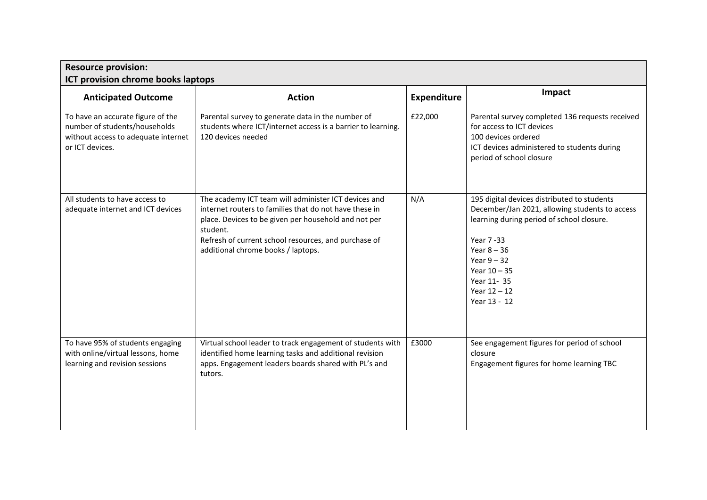| <b>Resource provision:</b><br>ICT provision chrome books laptops                                                             |                                                                                                                                                                                                                                                                                  |                    |                                                                                                                                                                                                                                                              |  |  |
|------------------------------------------------------------------------------------------------------------------------------|----------------------------------------------------------------------------------------------------------------------------------------------------------------------------------------------------------------------------------------------------------------------------------|--------------------|--------------------------------------------------------------------------------------------------------------------------------------------------------------------------------------------------------------------------------------------------------------|--|--|
| <b>Anticipated Outcome</b>                                                                                                   | <b>Action</b>                                                                                                                                                                                                                                                                    | <b>Expenditure</b> | Impact                                                                                                                                                                                                                                                       |  |  |
| To have an accurate figure of the<br>number of students/households<br>without access to adequate internet<br>or ICT devices. | Parental survey to generate data in the number of<br>students where ICT/internet access is a barrier to learning.<br>120 devices needed                                                                                                                                          | £22,000            | Parental survey completed 136 requests received<br>for access to ICT devices<br>100 devices ordered<br>ICT devices administered to students during<br>period of school closure                                                                               |  |  |
| All students to have access to<br>adequate internet and ICT devices                                                          | The academy ICT team will administer ICT devices and<br>internet routers to families that do not have these in<br>place. Devices to be given per household and not per<br>student.<br>Refresh of current school resources, and purchase of<br>additional chrome books / laptops. | N/A                | 195 digital devices distributed to students<br>December/Jan 2021, allowing students to access<br>learning during period of school closure.<br>Year 7-33<br>Year $8 - 36$<br>Year $9 - 32$<br>Year $10 - 35$<br>Year 11- 35<br>Year $12 - 12$<br>Year 13 - 12 |  |  |
| To have 95% of students engaging<br>with online/virtual lessons, home<br>learning and revision sessions                      | Virtual school leader to track engagement of students with<br>identified home learning tasks and additional revision<br>apps. Engagement leaders boards shared with PL's and<br>tutors.                                                                                          | £3000              | See engagement figures for period of school<br>closure<br>Engagement figures for home learning TBC                                                                                                                                                           |  |  |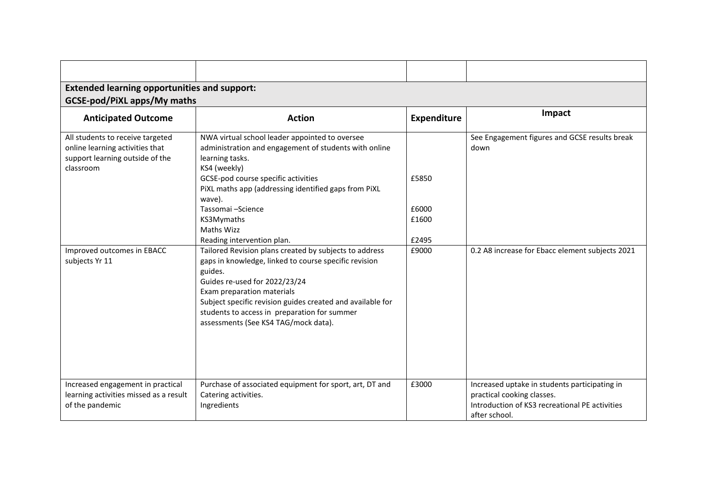| <b>Extended learning opportunities and support:</b><br>GCSE-pod/PiXL apps/My maths                                  |                                                                                                                                                                                                                                                                                                                                                 |                         |                                                                                                                                                |  |  |  |
|---------------------------------------------------------------------------------------------------------------------|-------------------------------------------------------------------------------------------------------------------------------------------------------------------------------------------------------------------------------------------------------------------------------------------------------------------------------------------------|-------------------------|------------------------------------------------------------------------------------------------------------------------------------------------|--|--|--|
| <b>Anticipated Outcome</b>                                                                                          | <b>Action</b>                                                                                                                                                                                                                                                                                                                                   | <b>Expenditure</b>      | Impact                                                                                                                                         |  |  |  |
| All students to receive targeted<br>online learning activities that<br>support learning outside of the<br>classroom | NWA virtual school leader appointed to oversee<br>administration and engagement of students with online<br>learning tasks.<br>KS4 (weekly)<br>GCSE-pod course specific activities<br>PiXL maths app (addressing identified gaps from PiXL<br>wave).<br>Tassomai - Science<br>KS3Mymaths<br>Maths Wizz                                           | £5850<br>£6000<br>£1600 | See Engagement figures and GCSE results break<br>down                                                                                          |  |  |  |
|                                                                                                                     | Reading intervention plan.                                                                                                                                                                                                                                                                                                                      | £2495                   |                                                                                                                                                |  |  |  |
| Improved outcomes in EBACC<br>subjects Yr 11                                                                        | Tailored Revision plans created by subjects to address<br>gaps in knowledge, linked to course specific revision<br>guides.<br>Guides re-used for 2022/23/24<br>Exam preparation materials<br>Subject specific revision guides created and available for<br>students to access in preparation for summer<br>assessments (See KS4 TAG/mock data). | £9000                   | 0.2 A8 increase for Ebacc element subjects 2021                                                                                                |  |  |  |
| Increased engagement in practical<br>learning activities missed as a result<br>of the pandemic                      | Purchase of associated equipment for sport, art, DT and<br>Catering activities.<br>Ingredients                                                                                                                                                                                                                                                  | £3000                   | Increased uptake in students participating in<br>practical cooking classes.<br>Introduction of KS3 recreational PE activities<br>after school. |  |  |  |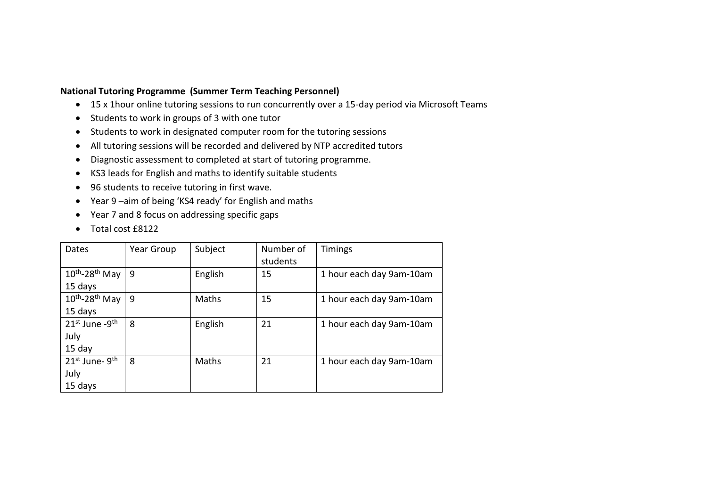### **National Tutoring Programme (Summer Term Teaching Personnel)**

- 15 x 1hour online tutoring sessions to run concurrently over a 15-day period via Microsoft Teams
- Students to work in groups of 3 with one tutor
- Students to work in designated computer room for the tutoring sessions
- All tutoring sessions will be recorded and delivered by NTP accredited tutors
- Diagnostic assessment to completed at start of tutoring programme.
- KS3 leads for English and maths to identify suitable students
- 96 students to receive tutoring in first wave.
- Year 9 –aim of being 'KS4 ready' for English and maths
- Year 7 and 8 focus on addressing specific gaps
- Total cost £8122

| Dates                                  | Year Group | Subject | Number of<br>students | Timings                  |
|----------------------------------------|------------|---------|-----------------------|--------------------------|
| $10^{th}$ -28 <sup>th</sup> May        | 9          | English | 15                    | 1 hour each day 9am-10am |
| 15 days                                |            |         |                       |                          |
| $10^{th}$ -28 <sup>th</sup> May        | 9          | Maths   | 15                    | 1 hour each day 9am-10am |
| 15 days                                |            |         |                       |                          |
| $21^{st}$ June -9 <sup>th</sup>        | 8          | English | 21                    | 1 hour each day 9am-10am |
| July                                   |            |         |                       |                          |
| $15$ day                               |            |         |                       |                          |
| 21 <sup>st</sup> June- 9 <sup>th</sup> | 8          | Maths   | 21                    | 1 hour each day 9am-10am |
| July                                   |            |         |                       |                          |
| 15 days                                |            |         |                       |                          |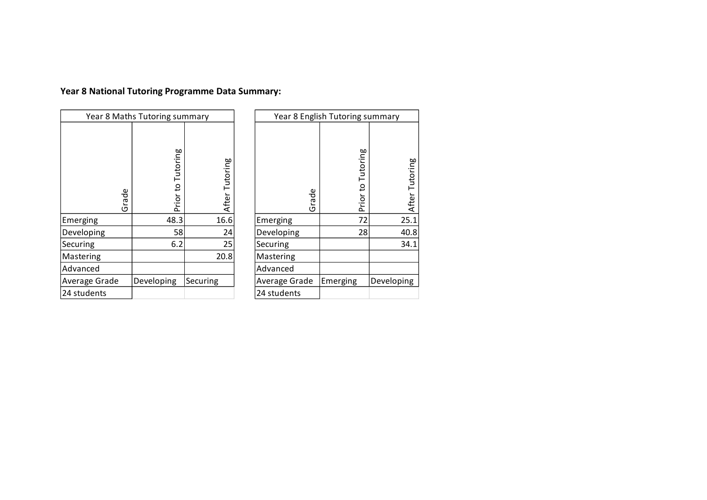# **Year 8 National Tutoring Programme Data Summary:**

| Year 8 Maths Tutoring summary |                   |                |  |  |
|-------------------------------|-------------------|----------------|--|--|
| Grade                         | Prior to Tutoring | After Tutoring |  |  |
| Emerging                      | 48.3              | 16.6           |  |  |
| Developing                    | 58                | 24             |  |  |
| Securing                      | 6.2               | 25             |  |  |
| Mastering                     |                   | 20.8           |  |  |
| Advanced                      |                   |                |  |  |
| Average Grade                 | Developing        | Securing       |  |  |
| 24 students                   |                   |                |  |  |

| Year 8 English Tutoring summary |                   |                |  |  |
|---------------------------------|-------------------|----------------|--|--|
| Grade                           | Prior to Tutoring | After Tutoring |  |  |
| Emerging                        | 72                | 25.1           |  |  |
| Developing                      | 28                | 40.8           |  |  |
| Securing                        |                   | 34.1           |  |  |
| Mastering                       |                   |                |  |  |
| Advanced                        |                   |                |  |  |
| Average Grade                   | Emerging          | Developing     |  |  |
| 24 students                     |                   |                |  |  |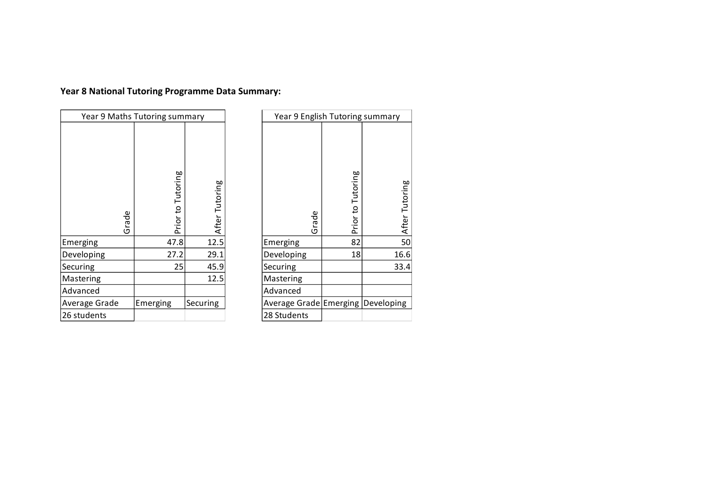# **Year 8 National Tutoring Programme Data Summary:**

| Year 9 Maths Tutoring summary |                   |                |  |  |
|-------------------------------|-------------------|----------------|--|--|
| Grade                         | Prior to Tutoring | After Tutoring |  |  |
| Emerging                      | 47.8              | 12.5           |  |  |
| Developing                    | 27.2              | 29.1           |  |  |
| Securing                      | 25                | 45.9           |  |  |
| Mastering                     |                   | 12.5           |  |  |
| Advanced                      |                   |                |  |  |
| Average Grade                 | Emerging          | Securing       |  |  |
| 26 students                   |                   |                |  |  |

| Year 9 English Tutoring summary    |                   |                |  |  |
|------------------------------------|-------------------|----------------|--|--|
| Grade                              | Prior to Tutoring | After Tutoring |  |  |
| Emerging                           | 82                | 50             |  |  |
| Developing                         | 18                | 16.6           |  |  |
| Securing                           |                   | 33.4           |  |  |
| Mastering                          |                   |                |  |  |
| Advanced                           |                   |                |  |  |
| Average Grade Emerging  Developing |                   |                |  |  |
| 28 Students                        |                   |                |  |  |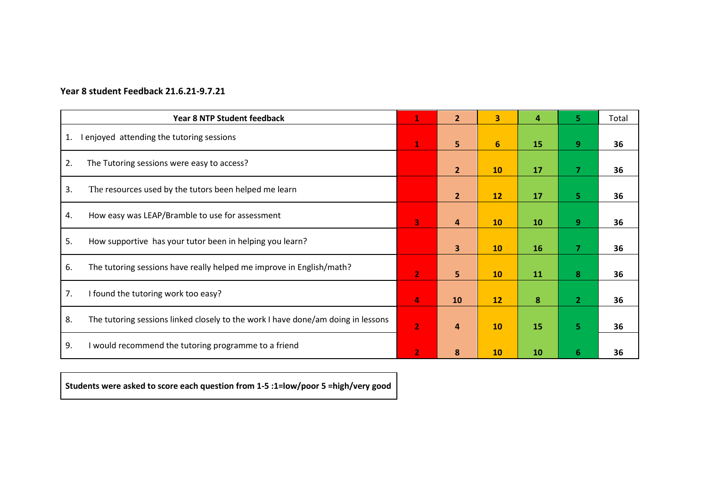## **Year 8 student Feedback 21.6.21-9.7.21**

|    | <b>Year 8 NTP Student feedback</b>                                               | $\mathbf{1}$   | $\overline{2}$          | $\overline{\mathbf{3}}$ | 4  | 5.             | Total |
|----|----------------------------------------------------------------------------------|----------------|-------------------------|-------------------------|----|----------------|-------|
| 1. | I enjoyed attending the tutoring sessions                                        | $\mathbf{1}$   | 5                       | $6\phantom{1}$          | 15 | 9              | 36    |
| 2. | The Tutoring sessions were easy to access?                                       |                | $\overline{2}$          | 10                      | 17 | $\overline{7}$ | 36    |
| 3. | The resources used by the tutors been helped me learn                            |                | $\overline{2}$          | 12                      | 17 | 5 <sup>1</sup> | 36    |
| 4. | How easy was LEAP/Bramble to use for assessment                                  | 3              | $\overline{a}$          | 10                      | 10 | 9 <sup>°</sup> | 36    |
| 5. | How supportive has your tutor been in helping you learn?                         |                | $\overline{\mathbf{3}}$ | 10                      | 16 | $\overline{7}$ | 36    |
| 6. | The tutoring sessions have really helped me improve in English/math?             | $\overline{2}$ | 5                       | 10                      | 11 | 8              | 36    |
| 7. | I found the tutoring work too easy?                                              | 4              | 10                      | 12                      | 8  | $\overline{2}$ | 36    |
| 8. | The tutoring sessions linked closely to the work I have done/am doing in lessons | $\overline{2}$ | 4                       | 10                      | 15 | 5.             | 36    |
| 9. | I would recommend the tutoring programme to a friend                             | $\overline{2}$ | 8                       | 10                      | 10 | 6              | 36    |

**Students were asked to score each question from 1-5 :1=low/poor 5 =high/very good**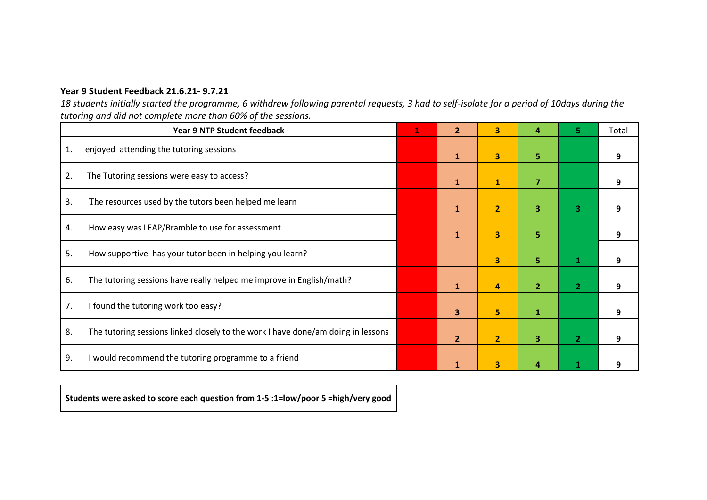## **Year 9 Student Feedback 21.6.21- 9.7.21**

*18 students initially started the programme, 6 withdrew following parental requests, 3 had to self-isolate for a period of 10days during the tutoring and did not complete more than 60% of the sessions.*

|    | <b>Year 9 NTP Student feedback</b>                                               | 1 | $\overline{2}$ | 3              | Д              |                | Total |
|----|----------------------------------------------------------------------------------|---|----------------|----------------|----------------|----------------|-------|
| 1. | I enjoyed attending the tutoring sessions                                        |   | $\mathbf{1}$   | 3              | 5.             |                | 9     |
| 2. | The Tutoring sessions were easy to access?                                       |   | $\mathbf{1}$   | $\mathbf{1}$   | $\overline{7}$ |                | 9     |
| 3. | The resources used by the tutors been helped me learn                            |   | $\mathbf{1}$   | $\overline{2}$ | $\overline{3}$ | 3              | 9     |
| 4. | How easy was LEAP/Bramble to use for assessment                                  |   | $\mathbf{1}$   | 3              | 5              |                |       |
| 5. | How supportive has your tutor been in helping you learn?                         |   |                | 3              | 5              |                |       |
| 6. | The tutoring sessions have really helped me improve in English/math?             |   | $\mathbf{1}$   | 4              | $\overline{2}$ | $\overline{2}$ |       |
| 7. | I found the tutoring work too easy?                                              |   | 3              | 5              | $\mathbf{1}$   |                | g     |
| 8. | The tutoring sessions linked closely to the work I have done/am doing in lessons |   | $\overline{2}$ | $\overline{2}$ | 3              | $\overline{2}$ |       |
| 9. | I would recommend the tutoring programme to a friend                             |   | 1              | 3              |                |                |       |

**Students were asked to score each question from 1-5 :1=low/poor 5 =high/very good**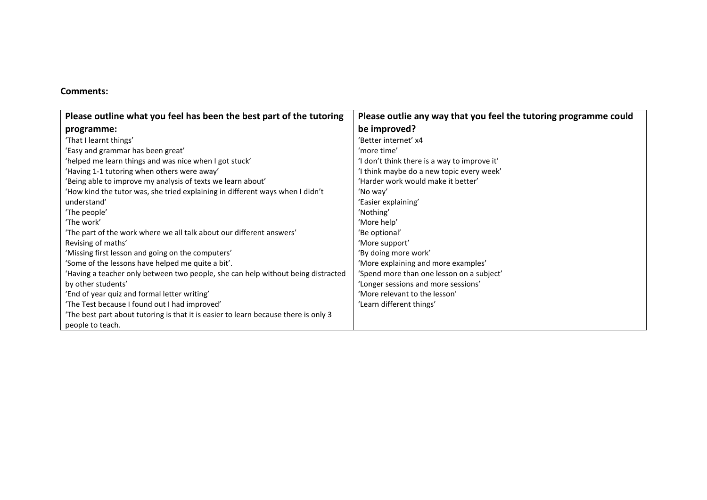### **Comments:**

| Please outline what you feel has been the best part of the tutoring                | Please outlie any way that you feel the tutoring programme could |
|------------------------------------------------------------------------------------|------------------------------------------------------------------|
| programme:                                                                         | be improved?                                                     |
| 'That I learnt things'                                                             | 'Better internet' x4                                             |
| 'Easy and grammar has been great'                                                  | 'more time'                                                      |
| 'helped me learn things and was nice when I got stuck'                             | 'I don't think there is a way to improve it'                     |
| 'Having 1-1 tutoring when others were away'                                        | 'I think maybe do a new topic every week'                        |
| 'Being able to improve my analysis of texts we learn about'                        | 'Harder work would make it better'                               |
| 'How kind the tutor was, she tried explaining in different ways when I didn't      | 'No way'                                                         |
| understand'                                                                        | 'Easier explaining'                                              |
| 'The people'                                                                       | 'Nothing'                                                        |
| 'The work'                                                                         | 'More help'                                                      |
| 'The part of the work where we all talk about our different answers'               | 'Be optional'                                                    |
| Revising of maths'                                                                 | 'More support'                                                   |
| 'Missing first lesson and going on the computers'                                  | 'By doing more work'                                             |
| 'Some of the lessons have helped me quite a bit'.                                  | 'More explaining and more examples'                              |
| Having a teacher only between two people, she can help without being distracted    | 'Spend more than one lesson on a subject'                        |
| by other students'                                                                 | 'Longer sessions and more sessions'                              |
| 'End of year quiz and formal letter writing'                                       | 'More relevant to the lesson'                                    |
| 'The Test because I found out I had improved'                                      | 'Learn different things'                                         |
| The best part about tutoring is that it is easier to learn because there is only 3 |                                                                  |
| people to teach.                                                                   |                                                                  |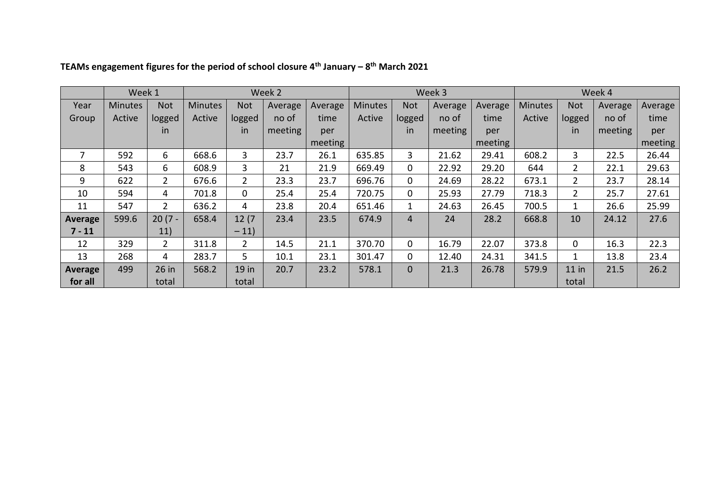|                | Week 1         |                       |                |                | Week 2  |         |                |            | Week 3  |         | Week 4  |                           |         |         |  |
|----------------|----------------|-----------------------|----------------|----------------|---------|---------|----------------|------------|---------|---------|---------|---------------------------|---------|---------|--|
| Year           | <b>Minutes</b> | <b>Not</b>            | <b>Minutes</b> | <b>Not</b>     | Average | Average | <b>Minutes</b> | <b>Not</b> | Average | Average | Minutes | <b>Not</b>                | Average | Average |  |
| Group          | Active         | logged                | Active         | logged         | no of   | time    | Active         | logged     | no of   | time    | Active  | logged                    | no of   | time    |  |
|                |                | <i>in</i>             |                | in             | meeting | per     |                | in         | meeting | per     |         | in.                       | meeting | per     |  |
|                |                |                       |                |                |         | meeting |                |            |         | meeting |         |                           |         | meeting |  |
| 7              | 592            | 6                     | 668.6          | 3              | 23.7    | 26.1    | 635.85         | 3          | 21.62   | 29.41   | 608.2   | 3                         | 22.5    | 26.44   |  |
| 8              | 543            | 6                     | 608.9          | $\mathbf{3}$   | 21      | 21.9    | 669.49         | 0          | 22.92   | 29.20   | 644     | $\mathbf{2}^{\mathsf{I}}$ | 22.1    | 29.63   |  |
| 9              | 622            | $\mathbf{2}^{\prime}$ | 676.6          | $\overline{2}$ | 23.3    | 23.7    | 696.76         | 0          | 24.69   | 28.22   | 673.1   | $\mathbf{2}^{\mathsf{I}}$ | 23.7    | 28.14   |  |
| 10             | 594            | 4                     | 701.8          | 0              | 25.4    | 25.4    | 720.75         | 0          | 25.93   | 27.79   | 718.3   | $\overline{2}$            | 25.7    | 27.61   |  |
| 11             | 547            | $\overline{2}$        | 636.2          | 4              | 23.8    | 20.4    | 651.46         | 1          | 24.63   | 26.45   | 700.5   | $\mathbf{1}$              | 26.6    | 25.99   |  |
| <b>Average</b> | 599.6          | $20(7 -$              | 658.4          | 12(7)          | 23.4    | 23.5    | 674.9          | 4          | 24      | 28.2    | 668.8   | 10                        | 24.12   | 27.6    |  |
| $7 - 11$       |                | 11)                   |                | $-11)$         |         |         |                |            |         |         |         |                           |         |         |  |
| 12             | 329            | $2^{\circ}$           | 311.8          | 2 <sup>1</sup> | 14.5    | 21.1    | 370.70         | 0          | 16.79   | 22.07   | 373.8   | 0                         | 16.3    | 22.3    |  |
| 13             | 268            | 4                     | 283.7          | 5 <sup>1</sup> | 10.1    | 23.1    | 301.47         | 0          | 12.40   | 24.31   | 341.5   | 1                         | 13.8    | 23.4    |  |
| <b>Average</b> | 499            | 26 in                 | 568.2          | 19 in          | 20.7    | 23.2    | 578.1          | 0          | 21.3    | 26.78   | 579.9   | $11$ in                   | 21.5    | 26.2    |  |
| for all        |                | total                 |                | total          |         |         |                |            |         |         |         | total                     |         |         |  |

### **TEAMs engagement figures for the period of school closure 4th January – 8 th March 2021**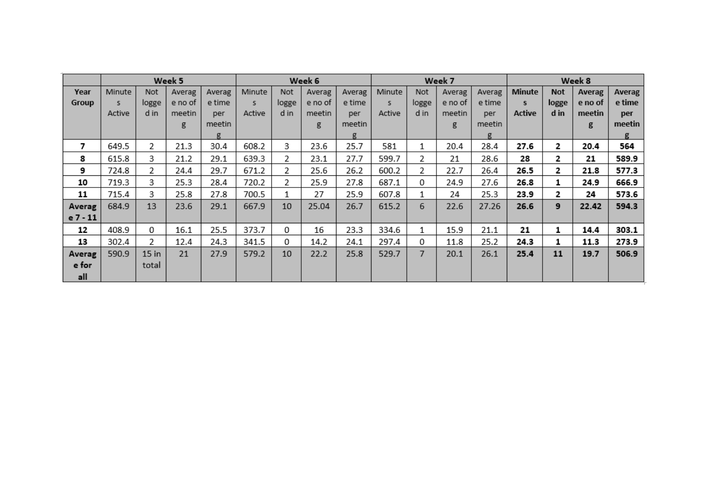|          |        |         | Week 5  |        | Week 6 |       |         |        |        |       | Week 7  |        | Week 8 |              |         |        |  |
|----------|--------|---------|---------|--------|--------|-------|---------|--------|--------|-------|---------|--------|--------|--------------|---------|--------|--|
| Year     | Minute | Not     | Averag  | Averag | Minute | Not   | Averag  | Averag | Minute | Not   | Averag  | Averag | Minute | <b>Not</b>   | Averag  | Averag |  |
| Group    | s.     | logge   | e no of | e time | s.     | logge | e no of | e time | s.     | logge | e no of | e time | s      | logge        | e no of | e time |  |
|          | Active | d in    | meetin  | per    | Active | d in  | meetin  | per    | Active | d in  | meetin  | per    | Active | d in         | meetin  | per    |  |
|          |        |         | g       | meetin |        |       | g       | meetin |        |       | g       | meetin |        |              | g       | meetin |  |
|          |        |         |         | g      |        |       |         | g      |        |       |         | g      |        |              |         | g      |  |
| 7        | 649.5  | 2       | 21.3    | 30.4   | 608.2  | 3     | 23.6    | 25.7   | 581    | 1     | 20.4    | 28.4   | 27.6   | 2            | 20.4    | 564    |  |
| 8        | 615.8  | 3       | 21.2    | 29.1   | 639.3  | 2     | 23.1    | 27.7   | 599.7  | 2     | 21      | 28.6   | 28     | 2.           | 21      | 589.9  |  |
| 9        | 724.8  | 2       | 24.4    | 29.7   | 671.2  | 2     | 25.6    | 26.2   | 600.2  | 2     | 22.7    | 26.4   | 26.5   | $\mathbf{2}$ | 21.8    | 577.3  |  |
| 10       | 719.3  | 3       | 25.3    | 28.4   | 720.2  | 2     | 25.9    | 27.8   | 687.1  | 0     | 24.9    | 27.6   | 26.8   | 1            | 24.9    | 666.9  |  |
| 11       | 715.4  | 3       | 25.8    | 27.8   | 700.5  |       | 27      | 25.9   | 607.8  |       | 24      | 25.3   | 23.9   | 2            | 24      | 573.6  |  |
| Averag   | 684.9  | 13      | 23.6    | 29.1   | 667.9  | 10    | 25.04   | 26.7   | 615.2  | 6     | 22.6    | 27.26  | 26.6   | 9            | 22.42   | 594.3  |  |
| e 7 - 11 |        |         |         |        |        |       |         |        |        |       |         |        |        |              |         |        |  |
| 12       | 408.9  | 0       | 16.1    | 25.5   | 373.7  | 0     | 16      | 23.3   | 334.6  |       | 15.9    | 21.1   | 21     |              | 14.4    | 303.1  |  |
| 13       | 302.4  | 2       | 12.4    | 24.3   | 341.5  | 0     | 14.2    | 24.1   | 297.4  | 0     | 11.8    | 25.2   | 24.3   |              | 11.3    | 273.9  |  |
| Averag   | 590.9  | $15$ in | 21      | 27.9   | 579.2  | 10    | 22.2    | 25.8   | 529.7  | 7     | 20.1    | 26.1   | 25.4   | 11           | 19.7    | 506.9  |  |
| e for    |        | total   |         |        |        |       |         |        |        |       |         |        |        |              |         |        |  |
| all      |        |         |         |        |        |       |         |        |        |       |         |        |        |              |         |        |  |